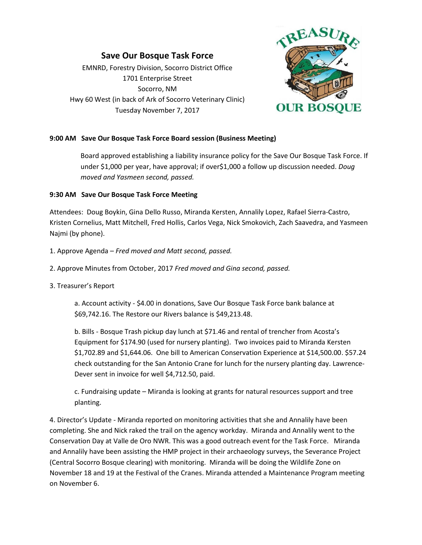# **Save Our Bosque Task Force**

EMNRD, Forestry Division, Socorro District Office 1701 Enterprise Street Socorro, NM Hwy 60 West (in back of Ark of Socorro Veterinary Clinic) Tuesday November 7, 2017



### **9:00 AM Save Our Bosque Task Force Board session (Business Meeting)**

Board approved establishing a liability insurance policy for the Save Our Bosque Task Force. If under \$1,000 per year, have approval; if over\$1,000 a follow up discussion needed. *Doug moved and Yasmeen second, passed.*

### **9:30 AM Save Our Bosque Task Force Meeting**

Attendees: Doug Boykin, Gina Dello Russo, Miranda Kersten, Annalily Lopez, Rafael Sierra-Castro, Kristen Cornelius, Matt Mitchell, Fred Hollis, Carlos Vega, Nick Smokovich, Zach Saavedra, and Yasmeen Najmi (by phone).

- 1. Approve Agenda *Fred moved and Matt second, passed.*
- 2. Approve Minutes from October, 2017 *Fred moved and Gina second, passed.*
- 3. Treasurer's Report

a. Account activity - \$4.00 in donations, Save Our Bosque Task Force bank balance at \$69,742.16. The Restore our Rivers balance is \$49,213.48.

b. Bills - Bosque Trash pickup day lunch at \$71.46 and rental of trencher from Acosta's Equipment for \$174.90 (used for nursery planting). Two invoices paid to Miranda Kersten \$1,702.89 and \$1,644.06. One bill to American Conservation Experience at \$14,500.00. \$57.24 check outstanding for the San Antonio Crane for lunch for the nursery planting day. Lawrence-Dever sent in invoice for well \$4,712.50, paid.

c. Fundraising update – Miranda is looking at grants for natural resources support and tree planting.

4. Director's Update - Miranda reported on monitoring activities that she and Annalily have been completing. She and Nick raked the trail on the agency workday. Miranda and Annalily went to the Conservation Day at Valle de Oro NWR. This was a good outreach event for the Task Force. Miranda and Annalily have been assisting the HMP project in their archaeology surveys, the Severance Project (Central Socorro Bosque clearing) with monitoring. Miranda will be doing the Wildlife Zone on November 18 and 19 at the Festival of the Cranes. Miranda attended a Maintenance Program meeting on November 6.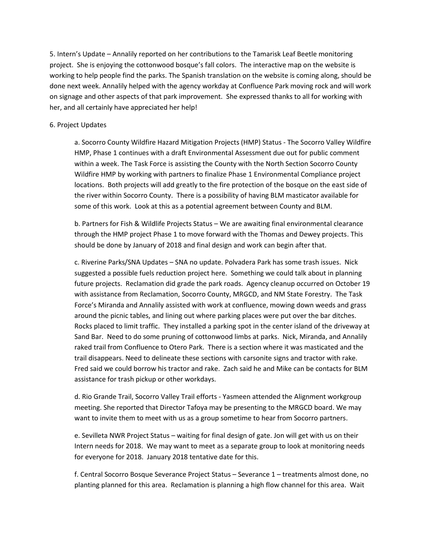5. Intern's Update – Annalily reported on her contributions to the Tamarisk Leaf Beetle monitoring project. She is enjoying the cottonwood bosque's fall colors. The interactive map on the website is working to help people find the parks. The Spanish translation on the website is coming along, should be done next week. Annalily helped with the agency workday at Confluence Park moving rock and will work on signage and other aspects of that park improvement. She expressed thanks to all for working with her, and all certainly have appreciated her help!

#### 6. Project Updates

a. Socorro County Wildfire Hazard Mitigation Projects (HMP) Status - The Socorro Valley Wildfire HMP, Phase 1 continues with a draft Environmental Assessment due out for public comment within a week. The Task Force is assisting the County with the North Section Socorro County Wildfire HMP by working with partners to finalize Phase 1 Environmental Compliance project locations. Both projects will add greatly to the fire protection of the bosque on the east side of the river within Socorro County. There is a possibility of having BLM masticator available for some of this work. Look at this as a potential agreement between County and BLM.

b. Partners for Fish & Wildlife Projects Status – We are awaiting final environmental clearance through the HMP project Phase 1 to move forward with the Thomas and Dewey projects. This should be done by January of 2018 and final design and work can begin after that.

c. Riverine Parks/SNA Updates – SNA no update. Polvadera Park has some trash issues. Nick suggested a possible fuels reduction project here. Something we could talk about in planning future projects. Reclamation did grade the park roads. Agency cleanup occurred on October 19 with assistance from Reclamation, Socorro County, MRGCD, and NM State Forestry. The Task Force's Miranda and Annalily assisted with work at confluence, mowing down weeds and grass around the picnic tables, and lining out where parking places were put over the bar ditches. Rocks placed to limit traffic. They installed a parking spot in the center island of the driveway at Sand Bar. Need to do some pruning of cottonwood limbs at parks. Nick, Miranda, and Annalily raked trail from Confluence to Otero Park. There is a section where it was masticated and the trail disappears. Need to delineate these sections with carsonite signs and tractor with rake. Fred said we could borrow his tractor and rake. Zach said he and Mike can be contacts for BLM assistance for trash pickup or other workdays.

d. Rio Grande Trail, Socorro Valley Trail efforts - Yasmeen attended the Alignment workgroup meeting. She reported that Director Tafoya may be presenting to the MRGCD board. We may want to invite them to meet with us as a group sometime to hear from Socorro partners.

e. Sevilleta NWR Project Status – waiting for final design of gate. Jon will get with us on their Intern needs for 2018. We may want to meet as a separate group to look at monitoring needs for everyone for 2018. January 2018 tentative date for this.

f. Central Socorro Bosque Severance Project Status – Severance 1 – treatments almost done, no planting planned for this area. Reclamation is planning a high flow channel for this area. Wait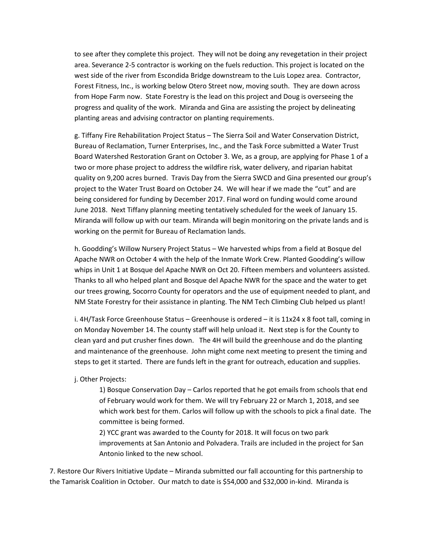to see after they complete this project. They will not be doing any revegetation in their project area. Severance 2-5 contractor is working on the fuels reduction. This project is located on the west side of the river from Escondida Bridge downstream to the Luis Lopez area. Contractor, Forest Fitness, Inc., is working below Otero Street now, moving south. They are down across from Hope Farm now. State Forestry is the lead on this project and Doug is overseeing the progress and quality of the work. Miranda and Gina are assisting the project by delineating planting areas and advising contractor on planting requirements.

g. Tiffany Fire Rehabilitation Project Status – The Sierra Soil and Water Conservation District, Bureau of Reclamation, Turner Enterprises, Inc., and the Task Force submitted a Water Trust Board Watershed Restoration Grant on October 3. We, as a group, are applying for Phase 1 of a two or more phase project to address the wildfire risk, water delivery, and riparian habitat quality on 9,200 acres burned. Travis Day from the Sierra SWCD and Gina presented our group's project to the Water Trust Board on October 24. We will hear if we made the "cut" and are being considered for funding by December 2017. Final word on funding would come around June 2018. Next Tiffany planning meeting tentatively scheduled for the week of January 15. Miranda will follow up with our team. Miranda will begin monitoring on the private lands and is working on the permit for Bureau of Reclamation lands.

h. Goodding's Willow Nursery Project Status – We harvested whips from a field at Bosque del Apache NWR on October 4 with the help of the Inmate Work Crew. Planted Goodding's willow whips in Unit 1 at Bosque del Apache NWR on Oct 20. Fifteen members and volunteers assisted. Thanks to all who helped plant and Bosque del Apache NWR for the space and the water to get our trees growing, Socorro County for operators and the use of equipment needed to plant, and NM State Forestry for their assistance in planting. The NM Tech Climbing Club helped us plant!

i. 4H/Task Force Greenhouse Status – Greenhouse is ordered – it is 11x24 x 8 foot tall, coming in on Monday November 14. The county staff will help unload it. Next step is for the County to clean yard and put crusher fines down. The 4H will build the greenhouse and do the planting and maintenance of the greenhouse. John might come next meeting to present the timing and steps to get it started. There are funds left in the grant for outreach, education and supplies.

j. Other Projects:

1) Bosque Conservation Day – Carlos reported that he got emails from schools that end of February would work for them. We will try February 22 or March 1, 2018, and see which work best for them. Carlos will follow up with the schools to pick a final date. The committee is being formed.

2) YCC grant was awarded to the County for 2018. It will focus on two park improvements at San Antonio and Polvadera. Trails are included in the project for San Antonio linked to the new school.

7. Restore Our Rivers Initiative Update – Miranda submitted our fall accounting for this partnership to the Tamarisk Coalition in October. Our match to date is \$54,000 and \$32,000 in-kind. Miranda is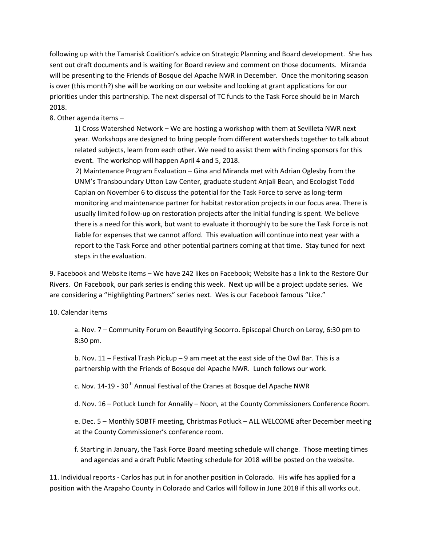following up with the Tamarisk Coalition's advice on Strategic Planning and Board development. She has sent out draft documents and is waiting for Board review and comment on those documents. Miranda will be presenting to the Friends of Bosque del Apache NWR in December. Once the monitoring season is over (this month?) she will be working on our website and looking at grant applications for our priorities under this partnership. The next dispersal of TC funds to the Task Force should be in March 2018.

## 8. Other agenda items –

1) Cross Watershed Network – We are hosting a workshop with them at Sevilleta NWR next year. Workshops are designed to bring people from different watersheds together to talk about related subjects, learn from each other. We need to assist them with finding sponsors for this event. The workshop will happen April 4 and 5, 2018.

2) Maintenance Program Evaluation – Gina and Miranda met with Adrian Oglesby from the UNM's Transboundary Utton Law Center, graduate student Anjali Bean, and Ecologist Todd Caplan on November 6 to discuss the potential for the Task Force to serve as long-term monitoring and maintenance partner for habitat restoration projects in our focus area. There is usually limited follow-up on restoration projects after the initial funding is spent. We believe there is a need for this work, but want to evaluate it thoroughly to be sure the Task Force is not liable for expenses that we cannot afford. This evaluation will continue into next year with a report to the Task Force and other potential partners coming at that time. Stay tuned for next steps in the evaluation.

9. Facebook and Website items – We have 242 likes on Facebook; Website has a link to the Restore Our Rivers. On Facebook, our park series is ending this week. Next up will be a project update series. We are considering a "Highlighting Partners" series next. Wes is our Facebook famous "Like."

#### 10. Calendar items

a. Nov. 7 – Community Forum on Beautifying Socorro. Episcopal Church on Leroy, 6:30 pm to 8:30 pm.

b. Nov. 11 – Festival Trash Pickup – 9 am meet at the east side of the Owl Bar. This is a partnership with the Friends of Bosque del Apache NWR. Lunch follows our work.

c. Nov. 14-19 - 30<sup>th</sup> Annual Festival of the Cranes at Bosque del Apache NWR

d. Nov. 16 – Potluck Lunch for Annalily – Noon, at the County Commissioners Conference Room.

e. Dec. 5 – Monthly SOBTF meeting, Christmas Potluck – ALL WELCOME after December meeting at the County Commissioner's conference room.

f. Starting in January, the Task Force Board meeting schedule will change. Those meeting times and agendas and a draft Public Meeting schedule for 2018 will be posted on the website.

11. Individual reports - Carlos has put in for another position in Colorado. His wife has applied for a position with the Arapaho County in Colorado and Carlos will follow in June 2018 if this all works out.